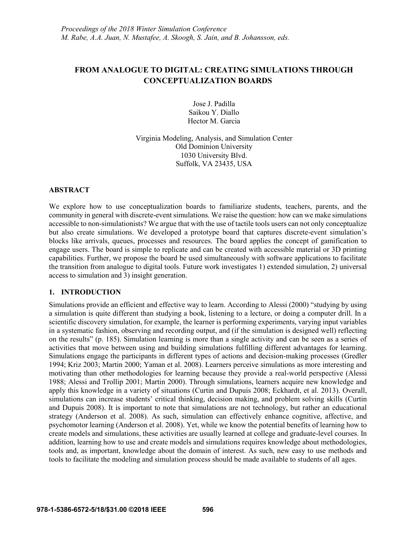# **FROM ANALOGUE TO DIGITAL: CREATING SIMULATIONS THROUGH CONCEPTUALIZATION BOARDS**

Jose J. Padilla Saikou Y. Diallo Hector M. Garcia

Virginia Modeling, Analysis, and Simulation Center Old Dominion University 1030 University Blvd. Suffolk, VA 23435, USA

#### **ABSTRACT**

We explore how to use conceptualization boards to familiarize students, teachers, parents, and the community in general with discrete-event simulations. We raise the question: how can we make simulations accessible to non-simulationists? We argue that with the use of tactile tools users can not only conceptualize but also create simulations. We developed a prototype board that captures discrete-event simulation's blocks like arrivals, queues, processes and resources. The board applies the concept of gamification to engage users. The board is simple to replicate and can be created with accessible material or 3D printing capabilities. Further, we propose the board be used simultaneously with software applications to facilitate the transition from analogue to digital tools. Future work investigates 1) extended simulation, 2) universal access to simulation and 3) insight generation.

#### **1. INTRODUCTION**

Simulations provide an efficient and effective way to learn. According to Alessi (2000) "studying by using a simulation is quite different than studying a book, listening to a lecture, or doing a computer drill. In a scientific discovery simulation, for example, the learner is performing experiments, varying input variables in a systematic fashion, observing and recording output, and (if the simulation is designed well) reflecting on the results" (p. 185). Simulation learning is more than a single activity and can be seen as a series of activities that move between using and building simulations fulfilling different advantages for learning. Simulations engage the participants in different types of actions and decision-making processes (Gredler 1994; Kriz 2003; Martin 2000; Yaman et al. 2008). Learners perceive simulations as more interesting and motivating than other methodologies for learning because they provide a real-world perspective (Alessi 1988; Alessi and Trollip 2001; Martin 2000). Through simulations, learners acquire new knowledge and apply this knowledge in a variety of situations (Curtin and Dupuis 2008; Eckhardt, et al. 2013). Overall, simulations can increase students' critical thinking, decision making, and problem solving skills (Curtin and Dupuis 2008). It is important to note that simulations are not technology, but rather an educational strategy (Anderson et al. 2008). As such, simulation can effectively enhance cognitive, affective, and psychomotor learning (Anderson et al. 2008). Yet, while we know the potential benefits of learning how to create models and simulations, these activities are usually learned at college and graduate-level courses. In addition, learning how to use and create models and simulations requires knowledge about methodologies, tools and, as important, knowledge about the domain of interest. As such, new easy to use methods and tools to facilitate the modeling and simulation process should be made available to students of all ages.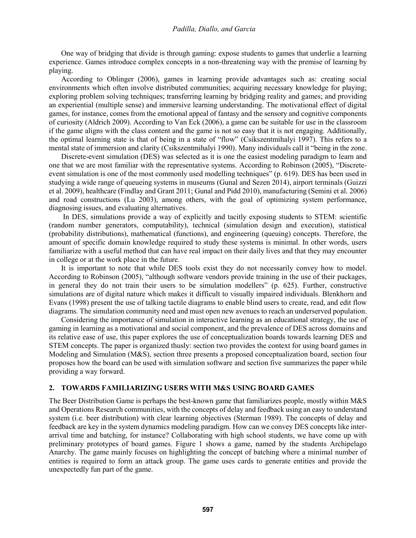One way of bridging that divide is through gaming: expose students to games that underlie a learning experience. Games introduce complex concepts in a non-threatening way with the premise of learning by playing.

According to Oblinger (2006), games in learning provide advantages such as: creating social environments which often involve distributed communities; acquiring necessary knowledge for playing; exploring problem solving techniques; transferring learning by bridging reality and games; and providing an experiential (multiple sense) and immersive learning understanding. The motivational effect of digital games, for instance, comes from the emotional appeal of fantasy and the sensory and cognitive components of curiosity (Aldrich 2009). According to Van Eck (2006), a game can be suitable for use in the classroom if the game aligns with the class content and the game is not so easy that it is not engaging. Additionally, the optimal learning state is that of being in a state of "flow" (Csikszentmihalyi 1997). This refers to a mental state of immersion and clarity (Csikszentmihalyi 1990). Many individuals call it "being in the zone.

Discrete-event simulation (DES) was selected as it is one the easiest modeling paradigm to learn and one that we are most familiar with the representative systems. According to Robinson (2005), "Discreteevent simulation is one of the most commonly used modelling techniques" (p. 619). DES has been used in studying a wide range of queueing systems in museums (Gunal and Sezen 2014), airport terminals (Guizzi et al. 2009), healthcare (Findlay and Grant 2011; Gunal and Pidd 2010), manufacturing (Semini et al. 2006) and road constructions (Lu 2003), among others, with the goal of optimizing system performance, diagnosing issues, and evaluating alternatives.

In DES, simulations provide a way of explicitly and tacitly exposing students to STEM: scientific (random number generators, computability), technical (simulation design and execution), statistical (probability distributions), mathematical (functions), and engineering (queuing) concepts. Therefore, the amount of specific domain knowledge required to study these systems is minimal. In other words, users familiarize with a useful method that can have real impact on their daily lives and that they may encounter in college or at the work place in the future.

It is important to note that while DES tools exist they do not necessarily convey how to model. According to Robinson (2005), "although software vendors provide training in the use of their packages, in general they do not train their users to be simulation modellers" (p. 625). Further, constructive simulations are of digital nature which makes it difficult to visually impaired individuals. Blenkhorn and Evans (1998) present the use of talking tactile diagrams to enable blind users to create, read, and edit flow diagrams. The simulation community need and must open new avenues to reach an underserved population.

Considering the importance of simulation in interactive learning as an educational strategy, the use of gaming in learning as a motivational and social component, and the prevalence of DES across domains and its relative ease of use, this paper explores the use of conceptualization boards towards learning DES and STEM concepts. The paper is organized thusly: section two provides the context for using board games in Modeling and Simulation (M&S), section three presents a proposed conceptualization board, section four proposes how the board can be used with simulation software and section five summarizes the paper while providing a way forward.

#### **2. TOWARDS FAMILIARIZING USERS WITH M&S USING BOARD GAMES**

The Beer Distribution Game is perhaps the best-known game that familiarizes people, mostly within M&S and Operations Research communities, with the concepts of delay and feedback using an easy to understand system (i.e. beer distribution) with clear learning objectives (Sterman 1989). The concepts of delay and feedback are key in the system dynamics modeling paradigm. How can we convey DES concepts like interarrival time and batching, for instance? Collaborating with high school students, we have come up with preliminary prototypes of board games. Figure 1 shows a game, named by the students Archipelago Anarchy. The game mainly focuses on highlighting the concept of batching where a minimal number of entities is required to form an attack group. The game uses cards to generate entities and provide the unexpectedly fun part of the game.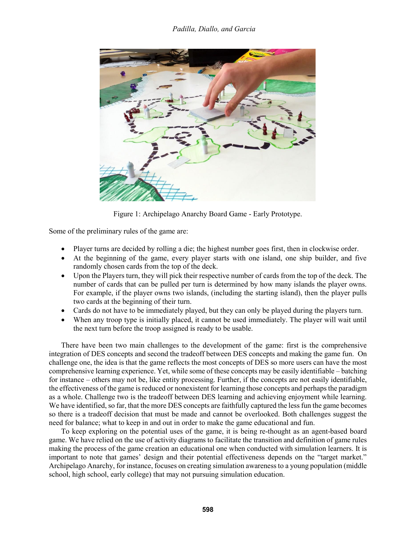

Figure 1: Archipelago Anarchy Board Game - Early Prototype.

Some of the preliminary rules of the game are:

- Player turns are decided by rolling a die; the highest number goes first, then in clockwise order.
- At the beginning of the game, every player starts with one island, one ship builder, and five randomly chosen cards from the top of the deck.
- Upon the Players turn, they will pick their respective number of cards from the top of the deck. The number of cards that can be pulled per turn is determined by how many islands the player owns. For example, if the player owns two islands, (including the starting island), then the player pulls two cards at the beginning of their turn.
- Cards do not have to be immediately played, but they can only be played during the players turn.
- When any troop type is initially placed, it cannot be used immediately. The player will wait until the next turn before the troop assigned is ready to be usable.

There have been two main challenges to the development of the game: first is the comprehensive integration of DES concepts and second the tradeoff between DES concepts and making the game fun. On challenge one, the idea is that the game reflects the most concepts of DES so more users can have the most comprehensive learning experience. Yet, while some of these concepts may be easily identifiable – batching for instance – others may not be, like entity processing. Further, if the concepts are not easily identifiable, the effectiveness of the game is reduced or nonexistent for learning those concepts and perhaps the paradigm as a whole. Challenge two is the tradeoff between DES learning and achieving enjoyment while learning. We have identified, so far, that the more DES concepts are faithfully captured the less fun the game becomes so there is a tradeoff decision that must be made and cannot be overlooked. Both challenges suggest the need for balance; what to keep in and out in order to make the game educational and fun.

To keep exploring on the potential uses of the game, it is being re-thought as an agent-based board game. We have relied on the use of activity diagrams to facilitate the transition and definition of game rules making the process of the game creation an educational one when conducted with simulation learners. It is important to note that games' design and their potential effectiveness depends on the "target market." Archipelago Anarchy, for instance, focuses on creating simulation awareness to a young population (middle school, high school, early college) that may not pursuing simulation education.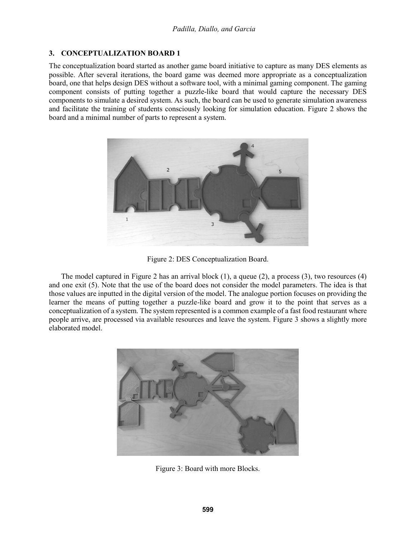## **3. CONCEPTUALIZATION BOARD 1**

The conceptualization board started as another game board initiative to capture as many DES elements as possible. After several iterations, the board game was deemed more appropriate as a conceptualization board, one that helps design DES without a software tool, with a minimal gaming component. The gaming component consists of putting together a puzzle-like board that would capture the necessary DES components to simulate a desired system. As such, the board can be used to generate simulation awareness and facilitate the training of students consciously looking for simulation education. Figure 2 shows the board and a minimal number of parts to represent a system.



Figure 2: DES Conceptualization Board.

The model captured in Figure 2 has an arrival block (1), a queue (2), a process (3), two resources (4) and one exit (5). Note that the use of the board does not consider the model parameters. The idea is that those values are inputted in the digital version of the model. The analogue portion focuses on providing the learner the means of putting together a puzzle-like board and grow it to the point that serves as a conceptualization of a system. The system represented is a common example of a fast food restaurant where people arrive, are processed via available resources and leave the system. Figure 3 shows a slightly more elaborated model.



Figure 3: Board with more Blocks.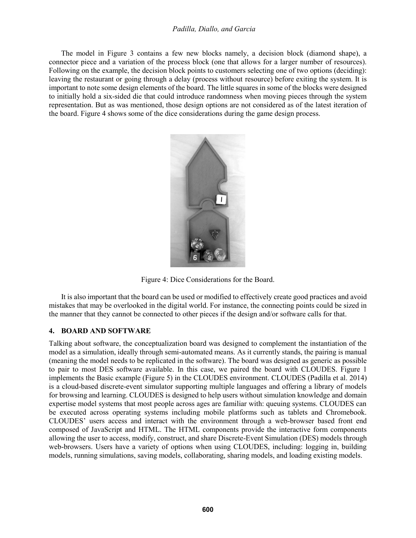The model in Figure 3 contains a few new blocks namely, a decision block (diamond shape), a connector piece and a variation of the process block (one that allows for a larger number of resources). Following on the example, the decision block points to customers selecting one of two options (deciding): leaving the restaurant or going through a delay (process without resource) before exiting the system. It is important to note some design elements of the board. The little squares in some of the blocks were designed to initially hold a six-sided die that could introduce randomness when moving pieces through the system representation. But as was mentioned, those design options are not considered as of the latest iteration of the board. Figure 4 shows some of the dice considerations during the game design process.



Figure 4: Dice Considerations for the Board.

It is also important that the board can be used or modified to effectively create good practices and avoid mistakes that may be overlooked in the digital world. For instance, the connecting points could be sized in the manner that they cannot be connected to other pieces if the design and/or software calls for that.

#### **4. BOARD AND SOFTWARE**

Talking about software, the conceptualization board was designed to complement the instantiation of the model as a simulation, ideally through semi-automated means. As it currently stands, the pairing is manual (meaning the model needs to be replicated in the software). The board was designed as generic as possible to pair to most DES software available. In this case, we paired the board with CLOUDES. Figure 1 implements the Basic example (Figure 5) in the CLOUDES environment. CLOUDES (Padilla et al. 2014) is a cloud-based discrete-event simulator supporting multiple languages and offering a library of models for browsing and learning. CLOUDES is designed to help users without simulation knowledge and domain expertise model systems that most people across ages are familiar with: queuing systems. CLOUDES can be executed across operating systems including mobile platforms such as tablets and Chromebook. CLOUDES' users access and interact with the environment through a web-browser based front end composed of JavaScript and HTML. The HTML components provide the interactive form components allowing the user to access, modify, construct, and share Discrete-Event Simulation (DES) models through web-browsers. Users have a variety of options when using CLOUDES, including: logging in, building models, running simulations, saving models, collaborating, sharing models, and loading existing models.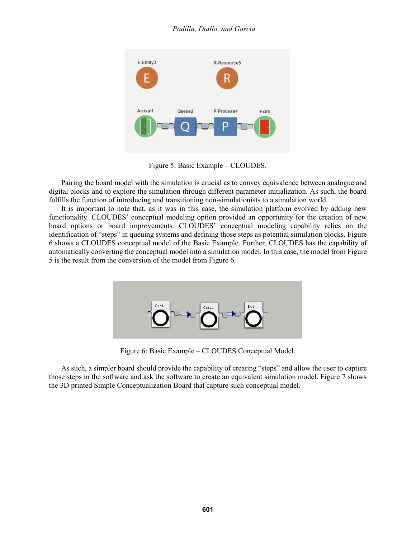

Figure 5: Basic Example – CLOUDES.

Pairing the board model with the simulation is crucial as to convey equivalence between analogue and digital blocks and to explore the simulation through different parameter initialization. As such, the board fulfills the function of introducing and transitioning non-simulationists to a simulation world.

It is important to note that, as it was in this case, the simulation platform evolved by adding new functionality. CLOUDES' conceptual modeling option provided an opportunity for the creation of new board options or board improvements. CLOUDES' conceptual modeling capability relies on the identification of "steps" in queuing systems and defining those steps as potential simulation blocks. Figure 6 shows a CLOUDES conceptual model of the Basic Example. Further, CLOUDES has the capability of automatically converting the conceptual model into a simulation model. In this case, the model from Figure 5 is the result from the conversion of the model from Figure 6.



Figure 6: Basic Example – CLOUDES Conceptual Model.

As such, a simpler board should provide the capability of creating "steps" and allow the user to capture those steps in the software and ask the software to create an equivalent simulation model. Figure 7 shows the 3D printed Simple Conceptualization Board that capture such conceptual model.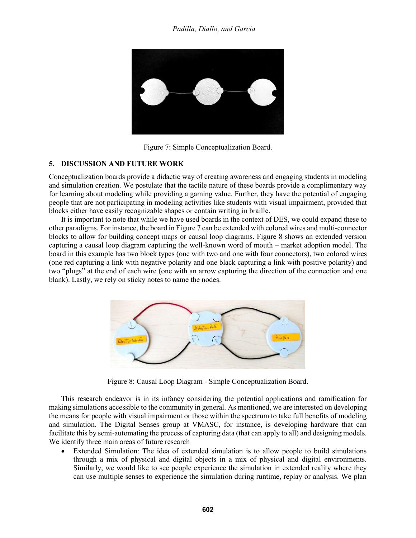

Figure 7: Simple Conceptualization Board.

## **5. DISCUSSION AND FUTURE WORK**

Conceptualization boards provide a didactic way of creating awareness and engaging students in modeling and simulation creation. We postulate that the tactile nature of these boards provide a complimentary way for learning about modeling while providing a gaming value. Further, they have the potential of engaging people that are not participating in modeling activities like students with visual impairment, provided that blocks either have easily recognizable shapes or contain writing in braille.

It is important to note that while we have used boards in the context of DES, we could expand these to other paradigms. For instance, the board in Figure 7 can be extended with colored wires and multi-connector blocks to allow for building concept maps or causal loop diagrams. Figure 8 shows an extended version capturing a causal loop diagram capturing the well-known word of mouth – market adoption model. The board in this example has two block types (one with two and one with four connectors), two colored wires (one red capturing a link with negative polarity and one black capturing a link with positive polarity) and two "plugs" at the end of each wire (one with an arrow capturing the direction of the connection and one blank). Lastly, we rely on sticky notes to name the nodes.



Figure 8: Causal Loop Diagram - Simple Conceptualization Board.

This research endeavor is in its infancy considering the potential applications and ramification for making simulations accessible to the community in general. As mentioned, we are interested on developing the means for people with visual impairment or those within the spectrum to take full benefits of modeling and simulation. The Digital Senses group at VMASC, for instance, is developing hardware that can facilitate this by semi-automating the process of capturing data (that can apply to all) and designing models. We identify three main areas of future research

• Extended Simulation: The idea of extended simulation is to allow people to build simulations through a mix of physical and digital objects in a mix of physical and digital environments. Similarly, we would like to see people experience the simulation in extended reality where they can use multiple senses to experience the simulation during runtime, replay or analysis. We plan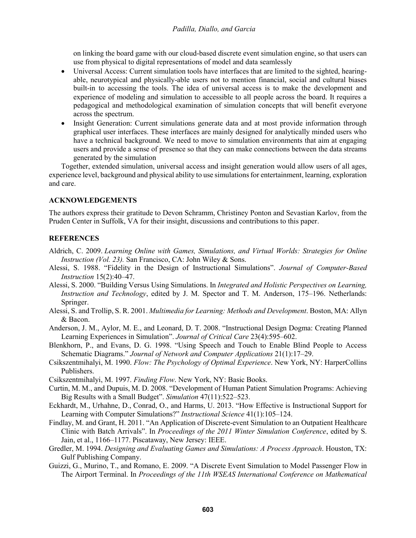on linking the board game with our cloud-based discrete event simulation engine, so that users can use from physical to digital representations of model and data seamlessly

- Universal Access: Current simulation tools have interfaces that are limited to the sighted, hearingable, neurotypical and physically-able users not to mention financial, social and cultural biases built-in to accessing the tools. The idea of universal access is to make the development and experience of modeling and simulation to accessible to all people across the board. It requires a pedagogical and methodological examination of simulation concepts that will benefit everyone across the spectrum.
- Insight Generation: Current simulations generate data and at most provide information through graphical user interfaces. These interfaces are mainly designed for analytically minded users who have a technical background. We need to move to simulation environments that aim at engaging users and provide a sense of presence so that they can make connections between the data streams generated by the simulation

Together, extended simulation, universal access and insight generation would allow users of all ages, experience level, background and physical ability to use simulations for entertainment, learning, exploration and care.

#### **ACKNOWLEDGEMENTS**

The authors express their gratitude to Devon Schramm, Christiney Ponton and Sevastian Karlov, from the Pruden Center in Suffolk, VA for their insight, discussions and contributions to this paper.

#### **REFERENCES**

- Aldrich, C. 2009. *Learning Online with Games, Simulations, and Virtual Worlds: Strategies for Online Instruction (Vol. 23).* San Francisco, CA: John Wiley & Sons.
- Alessi, S. 1988. "Fidelity in the Design of Instructional Simulations". *Journal of Computer-Based Instruction* 15(2):40–47.
- Alessi, S. 2000. "Building Versus Using Simulations. In *Integrated and Holistic Perspectives on Learning, Instruction and Technology*, edited by J. M. Spector and T. M. Anderson, 175–196. Netherlands: Springer.
- Alessi, S. and Trollip, S. R. 2001. *Multimedia for Learning: Methods and Development*. Boston, MA: Allyn & Bacon.
- Anderson, J. M., Aylor, M. E., and Leonard, D. T. 2008. "Instructional Design Dogma: Creating Planned Learning Experiences in Simulation". *Journal of Critical Care* 23(4):595–602.
- Blenkhorn, P., and Evans, D. G. 1998. "Using Speech and Touch to Enable Blind People to Access Schematic Diagrams." *Journal of Network and Computer Applications* 21(1):17–29.
- Csikszentmihalyi, M. 1990. *Flow: The Psychology of Optimal Experience*. New York, NY: HarperCollins Publishers.
- Csikszentmihalyi, M. 1997. *Finding Flow*. New York, NY: Basic Books.
- Curtin, M. M., and Dupuis, M. D. 2008. "Development of Human Patient Simulation Programs: Achieving Big Results with a Small Budget". *Simulation* 47(11):522–523.
- Eckhardt, M., Urhahne, D., Conrad, O., and Harms, U. 2013. "How Effective is Instructional Support for Learning with Computer Simulations?" *Instructional Science* 41(1):105–124.
- Findlay, M. and Grant, H. 2011. "An Application of Discrete-event Simulation to an Outpatient Healthcare Clinic with Batch Arrivals". In *Proceedings of the 2011 Winter Simulation Conference*, edited by S. Jain, et al., 1166–1177. Piscataway, New Jersey: IEEE.
- Gredler, M. 1994. *Designing and Evaluating Games and Simulations: A Process Approach*. Houston, TX: Gulf Publishing Company.
- Guizzi, G., Murino, T., and Romano, E. 2009. "A Discrete Event Simulation to Model Passenger Flow in The Airport Terminal. In *Proceedings of the 11th WSEAS International Conference on Mathematical*